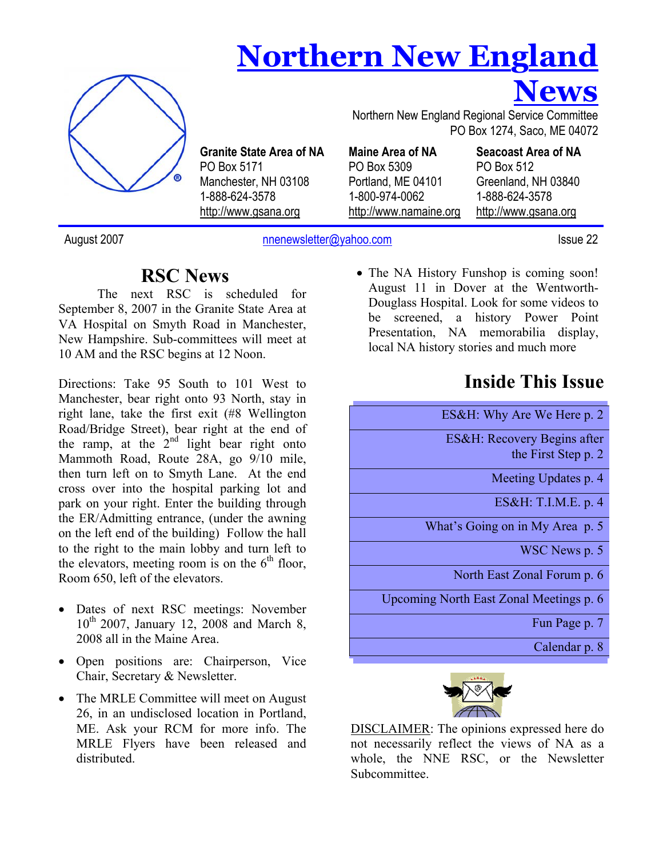# **Northern New England**



**Granite State Area of NA**  PO Box 5171 Manchester, NH 03108 1-888-624-3578 http://www.gsana.org

 PO Box 1274, Saco, ME 04072 **Maine Area of NA**  PO Box 5309

Portland, ME 04101 1-800-974-0062 http://www.namaine.org

**Seacoast Area of NA**  PO Box 512 Greenland, NH 03840 1-888-624-3578 http://www.gsana.org

**News**

August 2007 hnenewsletter@yahoo.com Issue 22

### **RSC News**

The next RSC is scheduled for September 8, 2007 in the Granite State Area at VA Hospital on Smyth Road in Manchester, New Hampshire. Sub-committees will meet at 10 AM and the RSC begins at 12 Noon.

Directions: Take 95 South to 101 West to Manchester, bear right onto 93 North, stay in right lane, take the first exit (#8 Wellington Road/Bridge Street), bear right at the end of the ramp, at the  $2<sup>nd</sup>$  light bear right onto Mammoth Road, Route 28A, go 9/10 mile, then turn left on to Smyth Lane. At the end cross over into the hospital parking lot and park on your right. Enter the building through the ER/Admitting entrance, (under the awning on the left end of the building) Follow the hall to the right to the main lobby and turn left to the elevators, meeting room is on the  $6<sup>th</sup>$  floor, Room 650, left of the elevators.

- Dates of next RSC meetings: November 10th 2007, January 12, 2008 and March 8, 2008 all in the Maine Area.
- Open positions are: Chairperson, Vice Chair, Secretary & Newsletter.
- The MRLE Committee will meet on August 26, in an undisclosed location in Portland, ME. Ask your RCM for more info. The MRLE Flyers have been released and distributed.

• The NA History Funshop is coming soon! August 11 in Dover at the Wentworth-Douglass Hospital. Look for some videos to be screened, a history Power Point Presentation, NA memorabilia display, local NA history stories and much more

Northern New England Regional Service Committee

# **Inside This Issue**

ES&H: Why Are We Here p. 2 ES&H: Recovery Begins after the First Step p. 2

Meeting Updates p. 4

ES&H: T.I.M.E. p. 4

**Subscribe to the What's Going on in My Area p. 5** 

**FREE SEND YOUR REQUEST TO BE SERVED ASSESSED. nnenewsletter@yahoo.com**

North East Zonal Forum p. 6

Upcoming North East Zonal Meetings p. 6

Fun Page p. 7

Calendar p. 8



DISCLAIMER: The opinions expressed here do not necessarily reflect the views of NA as a whole, the NNE RSC, or the Newsletter Subcommittee.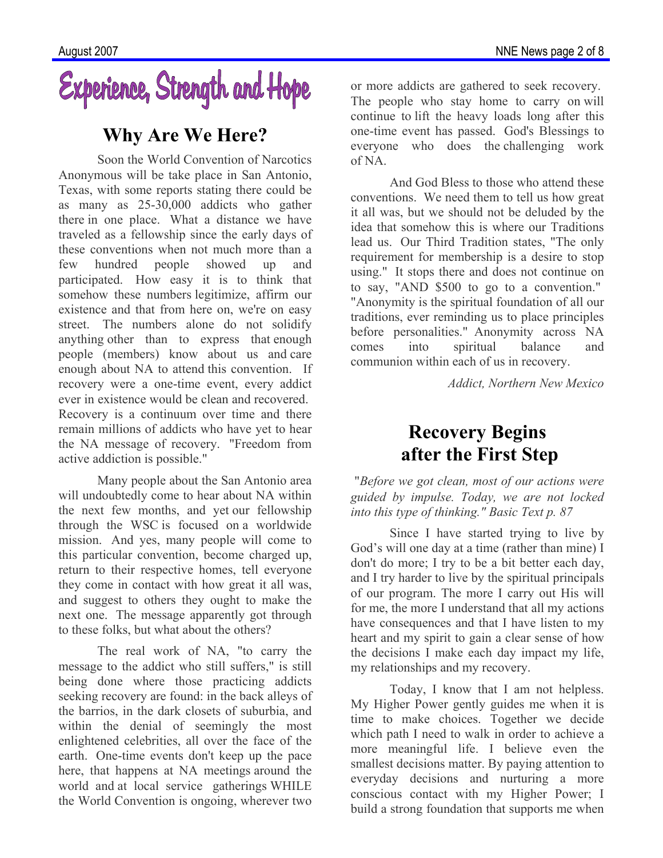

### **Why Are We Here?**

Soon the World Convention of Narcotics Anonymous will be take place in San Antonio, Texas, with some reports stating there could be as many as 25-30,000 addicts who gather there in one place. What a distance we have traveled as a fellowship since the early days of these conventions when not much more than a few hundred people showed up and participated. How easy it is to think that somehow these numbers legitimize, affirm our existence and that from here on, we're on easy street. The numbers alone do not solidify anything other than to express that enough people (members) know about us and care enough about NA to attend this convention. If recovery were a one-time event, every addict ever in existence would be clean and recovered. Recovery is a continuum over time and there remain millions of addicts who have yet to hear the NA message of recovery. "Freedom from active addiction is possible."

Many people about the San Antonio area will undoubtedly come to hear about NA within the next few months, and yet our fellowship through the WSC is focused on a worldwide mission. And yes, many people will come to this particular convention, become charged up, return to their respective homes, tell everyone they come in contact with how great it all was, and suggest to others they ought to make the next one. The message apparently got through to these folks, but what about the others?

The real work of NA, "to carry the message to the addict who still suffers," is still being done where those practicing addicts seeking recovery are found: in the back alleys of the barrios, in the dark closets of suburbia, and within the denial of seemingly the most enlightened celebrities, all over the face of the earth. One-time events don't keep up the pace here, that happens at NA meetings around the world and at local service gatherings WHILE the World Convention is ongoing, wherever two

or more addicts are gathered to seek recovery. The people who stay home to carry on will continue to lift the heavy loads long after this one-time event has passed. God's Blessings to everyone who does the challenging work of NA.

And God Bless to those who attend these conventions. We need them to tell us how great it all was, but we should not be deluded by the idea that somehow this is where our Traditions lead us. Our Third Tradition states, "The only requirement for membership is a desire to stop using." It stops there and does not continue on to say, "AND \$500 to go to a convention." "Anonymity is the spiritual foundation of all our traditions, ever reminding us to place principles before personalities." Anonymity across NA comes into spiritual balance and communion within each of us in recovery.

*Addict, Northern New Mexico* 

# **Recovery Begins after the First Step**

"*Before we got clean, most of our actions were guided by impulse. Today, we are not locked into this type of thinking." Basic Text p. 87* 

Since I have started trying to live by God's will one day at a time (rather than mine) I don't do more; I try to be a bit better each day, and I try harder to live by the spiritual principals of our program. The more I carry out His will for me, the more I understand that all my actions have consequences and that I have listen to my heart and my spirit to gain a clear sense of how the decisions I make each day impact my life, my relationships and my recovery.

Today, I know that I am not helpless. My Higher Power gently guides me when it is time to make choices. Together we decide which path I need to walk in order to achieve a more meaningful life. I believe even the smallest decisions matter. By paying attention to everyday decisions and nurturing a more conscious contact with my Higher Power; I build a strong foundation that supports me when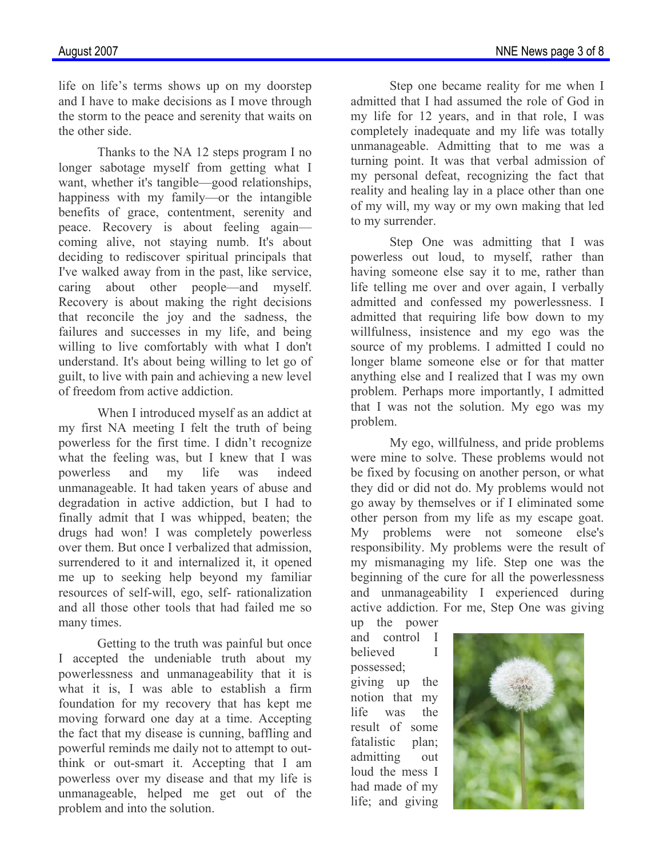life on life's terms shows up on my doorstep and I have to make decisions as I move through the storm to the peace and serenity that waits on the other side.

Thanks to the NA 12 steps program I no longer sabotage myself from getting what I want, whether it's tangible—good relationships, happiness with my family—or the intangible benefits of grace, contentment, serenity and peace. Recovery is about feeling again coming alive, not staying numb. It's about deciding to rediscover spiritual principals that I've walked away from in the past, like service, caring about other people—and myself. Recovery is about making the right decisions that reconcile the joy and the sadness, the failures and successes in my life, and being willing to live comfortably with what I don't understand. It's about being willing to let go of guilt, to live with pain and achieving a new level of freedom from active addiction.

When I introduced myself as an addict at my first NA meeting I felt the truth of being powerless for the first time. I didn't recognize what the feeling was, but I knew that I was powerless and my life was indeed unmanageable. It had taken years of abuse and degradation in active addiction, but I had to finally admit that I was whipped, beaten; the drugs had won! I was completely powerless over them. But once I verbalized that admission, surrendered to it and internalized it, it opened me up to seeking help beyond my familiar resources of self-will, ego, self- rationalization and all those other tools that had failed me so many times.

Getting to the truth was painful but once I accepted the undeniable truth about my powerlessness and unmanageability that it is what it is, I was able to establish a firm foundation for my recovery that has kept me moving forward one day at a time. Accepting the fact that my disease is cunning, baffling and powerful reminds me daily not to attempt to outthink or out-smart it. Accepting that I am powerless over my disease and that my life is unmanageable, helped me get out of the problem and into the solution.

Step one became reality for me when I admitted that I had assumed the role of God in my life for 12 years, and in that role, I was completely inadequate and my life was totally unmanageable. Admitting that to me was a turning point. It was that verbal admission of my personal defeat, recognizing the fact that reality and healing lay in a place other than one of my will, my way or my own making that led to my surrender.

Step One was admitting that I was powerless out loud, to myself, rather than having someone else say it to me, rather than life telling me over and over again, I verbally admitted and confessed my powerlessness. I admitted that requiring life bow down to my willfulness, insistence and my ego was the source of my problems. I admitted I could no longer blame someone else or for that matter anything else and I realized that I was my own problem. Perhaps more importantly, I admitted that I was not the solution. My ego was my problem.

My ego, willfulness, and pride problems were mine to solve. These problems would not be fixed by focusing on another person, or what they did or did not do. My problems would not go away by themselves or if I eliminated some other person from my life as my escape goat. My problems were not someone else's responsibility. My problems were the result of my mismanaging my life. Step one was the beginning of the cure for all the powerlessness and unmanageability I experienced during active addiction. For me, Step One was giving up the power

and control I believed I possessed; giving up the notion that my life was the result of some fatalistic plan: admitting out loud the mess I had made of my life; and giving

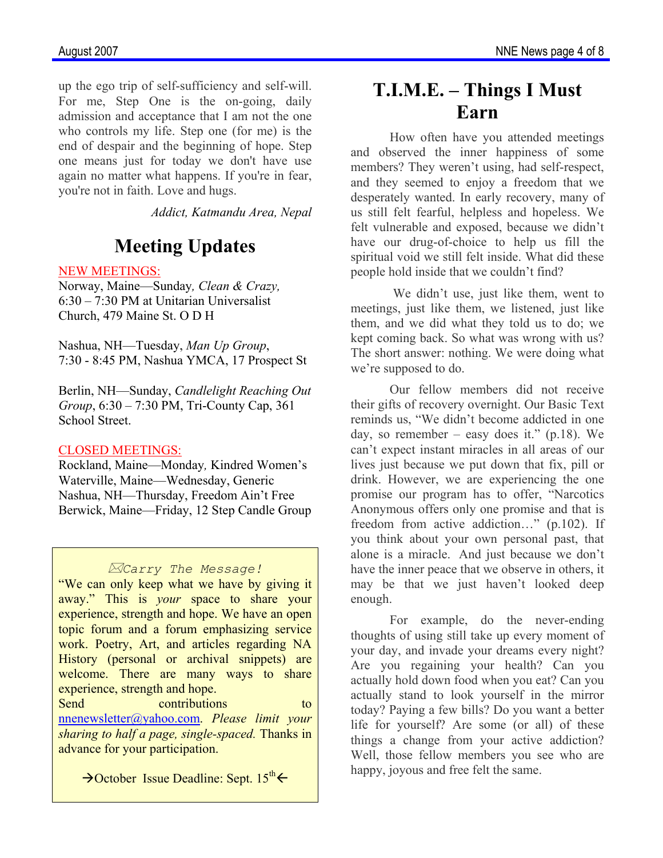up the ego trip of self-sufficiency and self-will. For me, Step One is the on-going, daily admission and acceptance that I am not the one who controls my life. Step one (for me) is the end of despair and the beginning of hope. Step one means just for today we don't have use again no matter what happens. If you're in fear, you're not in faith. Love and hugs.

*Addict, Katmandu Area, Nepal* 

# **Meeting Updates**

#### NEW MEETINGS:

Norway, Maine—Sunday*, Clean & Crazy,*  6:30 – 7:30 PM at Unitarian Universalist Church, 479 Maine St. O D H

Nashua, NH—Tuesday, *Man Up Group*, 7:30 - 8:45 PM, Nashua YMCA, 17 Prospect St

Berlin, NH—Sunday, *Candlelight Reaching Out Group*, 6:30 – 7:30 PM, Tri-County Cap, 361 School Street.

#### CLOSED MEETINGS:

Rockland, Maine—Monday*,* Kindred Women's Waterville, Maine—Wednesday, Generic Nashua, NH—Thursday, Freedom Ain't Free Berwick, Maine—Friday, 12 Step Candle Group

#### *Carry The Message!*

"We can only keep what we have by giving it away." This is *your* space to share your experience, strength and hope. We have an open topic forum and a forum emphasizing service work. Poetry, Art, and articles regarding NA History (personal or archival snippets) are welcome. There are many ways to share experience, strength and hope.

Send contributions to nnenewsletter@yahoo.com. *Please limit your sharing to half a page, single-spaced.* Thanks in advance for your participation.

 $\rightarrow$ October Issue Deadline: Sept. 15<sup>th</sup> $\leftarrow$ 

# **T.I.M.E. – Things I Must Earn**

 How often have you attended meetings and observed the inner happiness of some members? They weren't using, had self-respect, and they seemed to enjoy a freedom that we desperately wanted. In early recovery, many of us still felt fearful, helpless and hopeless. We felt vulnerable and exposed, because we didn't have our drug-of-choice to help us fill the spiritual void we still felt inside. What did these people hold inside that we couldn't find?

We didn't use, just like them, went to meetings, just like them, we listened, just like them, and we did what they told us to do; we kept coming back. So what was wrong with us? The short answer: nothing. We were doing what we're supposed to do.

Our fellow members did not receive their gifts of recovery overnight. Our Basic Text reminds us, "We didn't become addicted in one day, so remember – easy does it."  $(p.18)$ . We can't expect instant miracles in all areas of our lives just because we put down that fix, pill or drink. However, we are experiencing the one promise our program has to offer, "Narcotics Anonymous offers only one promise and that is freedom from active addiction…" (p.102). If you think about your own personal past, that alone is a miracle. And just because we don't have the inner peace that we observe in others, it may be that we just haven't looked deep enough.

For example, do the never-ending thoughts of using still take up every moment of your day, and invade your dreams every night? Are you regaining your health? Can you actually hold down food when you eat? Can you actually stand to look yourself in the mirror today? Paying a few bills? Do you want a better life for yourself? Are some (or all) of these things a change from your active addiction? Well, those fellow members you see who are happy, joyous and free felt the same.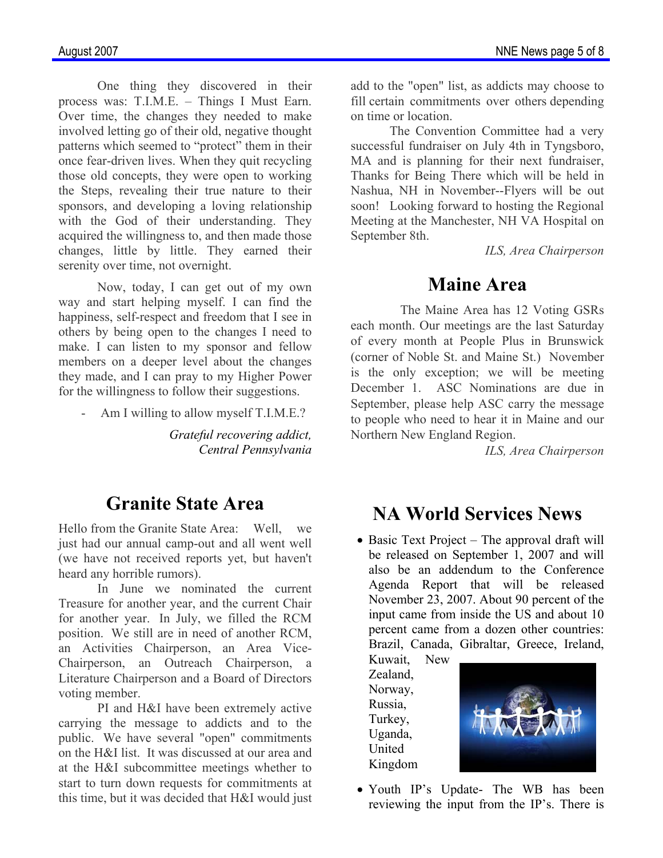One thing they discovered in their process was: T.I.M.E. – Things I Must Earn. Over time, the changes they needed to make involved letting go of their old, negative thought patterns which seemed to "protect" them in their once fear-driven lives. When they quit recycling those old concepts, they were open to working the Steps, revealing their true nature to their sponsors, and developing a loving relationship with the God of their understanding. They acquired the willingness to, and then made those changes, little by little. They earned their serenity over time, not overnight.

Now, today, I can get out of my own way and start helping myself. I can find the happiness, self-respect and freedom that I see in others by being open to the changes I need to make. I can listen to my sponsor and fellow members on a deeper level about the changes they made, and I can pray to my Higher Power for the willingness to follow their suggestions.

Am I willing to allow myself T.I.M.E.?

*Grateful recovering addict, Central Pennsylvania* 

### **Granite State Area**

Hello from the Granite State Area: Well, we just had our annual camp-out and all went well (we have not received reports yet, but haven't heard any horrible rumors).

 In June we nominated the current Treasure for another year, and the current Chair for another year. In July, we filled the RCM position. We still are in need of another RCM, an Activities Chairperson, an Area Vice-Chairperson, an Outreach Chairperson, a Literature Chairperson and a Board of Directors voting member.

 PI and H&I have been extremely active carrying the message to addicts and to the public. We have several "open" commitments on the H&I list. It was discussed at our area and at the H&I subcommittee meetings whether to start to turn down requests for commitments at this time, but it was decided that H&I would just add to the "open" list, as addicts may choose to fill certain commitments over others depending on time or location.

 The Convention Committee had a very successful fundraiser on July 4th in Tyngsboro, MA and is planning for their next fundraiser, Thanks for Being There which will be held in Nashua, NH in November--Flyers will be out soon! Looking forward to hosting the Regional Meeting at the Manchester, NH VA Hospital on September 8th.

*ILS, Area Chairperson* 

### **Maine Area**

The Maine Area has 12 Voting GSRs each month. Our meetings are the last Saturday of every month at People Plus in Brunswick (corner of Noble St. and Maine St.) November is the only exception; we will be meeting December 1. ASC Nominations are due in September, please help ASC carry the message to people who need to hear it in Maine and our Northern New England Region.

*ILS, Area Chairperson* 

### **NA World Services News**

• Basic Text Project – The approval draft will be released on September 1, 2007 and will also be an addendum to the Conference Agenda Report that will be released November 23, 2007. About 90 percent of the input came from inside the US and about 10 percent came from a dozen other countries: Brazil, Canada, Gibraltar, Greece, Ireland,

Kuwait, New Zealand, Norway, Russia, Turkey, Uganda, United Kingdom



• Youth IP's Update- The WB has been reviewing the input from the IP's. There is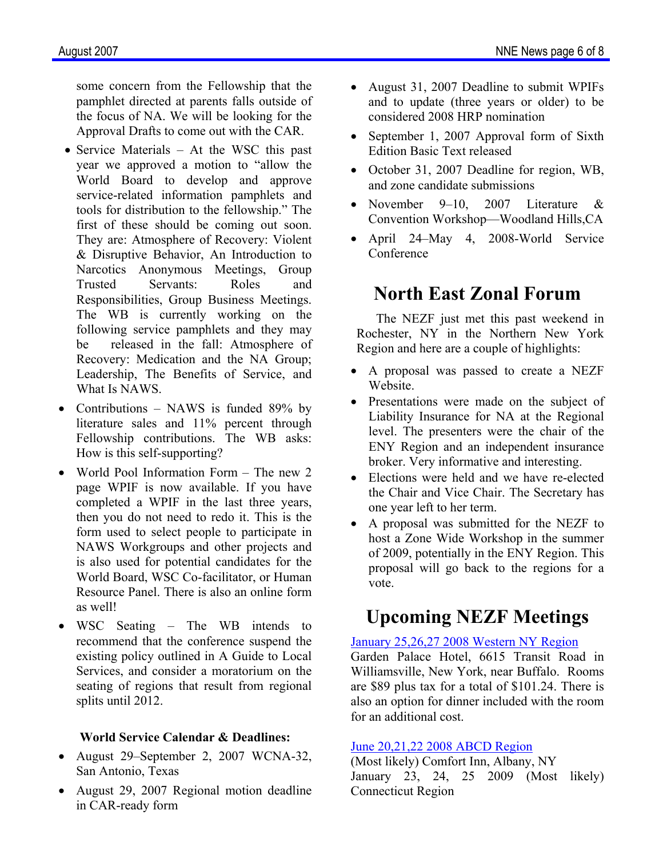some concern from the Fellowship that the pamphlet directed at parents falls outside of the focus of NA. We will be looking for the Approval Drafts to come out with the CAR.

- Service Materials At the WSC this past year we approved a motion to "allow the World Board to develop and approve service-related information pamphlets and tools for distribution to the fellowship." The first of these should be coming out soon. They are: Atmosphere of Recovery: Violent & Disruptive Behavior, An Introduction to Narcotics Anonymous Meetings, Group Trusted Servants: Roles and Responsibilities, Group Business Meetings. The WB is currently working on the following service pamphlets and they may be released in the fall: Atmosphere of Recovery: Medication and the NA Group; Leadership, The Benefits of Service, and What Is NAWS.
- Contributions NAWS is funded 89% by literature sales and 11% percent through Fellowship contributions. The WB asks: How is this self-supporting?
- World Pool Information Form The new 2 page WPIF is now available. If you have completed a WPIF in the last three years, then you do not need to redo it. This is the form used to select people to participate in NAWS Workgroups and other projects and is also used for potential candidates for the World Board, WSC Co-facilitator, or Human Resource Panel. There is also an online form as well!
- WSC Seating The WB intends to recommend that the conference suspend the existing policy outlined in A Guide to Local Services, and consider a moratorium on the seating of regions that result from regional splits until 2012.

#### **World Service Calendar & Deadlines:**

- August 29–September 2, 2007 WCNA-32, San Antonio, Texas
- August 29, 2007 Regional motion deadline in CAR-ready form
- August 31, 2007 Deadline to submit WPIFs and to update (three years or older) to be considered 2008 HRP nomination
- September 1, 2007 Approval form of Sixth Edition Basic Text released
- October 31, 2007 Deadline for region, WB, and zone candidate submissions
- November 9–10, 2007 Literature & Convention Workshop—Woodland Hills,CA
- April 24–May 4, 2008-World Service **Conference**

### **North East Zonal Forum**

The NEZF just met this past weekend in Rochester, NY in the Northern New York Region and here are a couple of highlights:

- A proposal was passed to create a NEZF **Website**
- Presentations were made on the subject of Liability Insurance for NA at the Regional level. The presenters were the chair of the ENY Region and an independent insurance broker. Very informative and interesting.
- Elections were held and we have re-elected the Chair and Vice Chair. The Secretary has one year left to her term.
- A proposal was submitted for the NEZF to host a Zone Wide Workshop in the summer of 2009, potentially in the ENY Region. This proposal will go back to the regions for a vote.

### **Upcoming NEZF Meetings**

#### January 25,26,27 2008 Western NY Region

Garden Palace Hotel, 6615 Transit Road in Williamsville, New York, near Buffalo. Rooms are \$89 plus tax for a total of \$101.24. There is also an option for dinner included with the room for an additional cost.

#### June 20,21,22 2008 ABCD Region

(Most likely) Comfort Inn, Albany, NY January 23, 24, 25 2009 (Most likely) Connecticut Region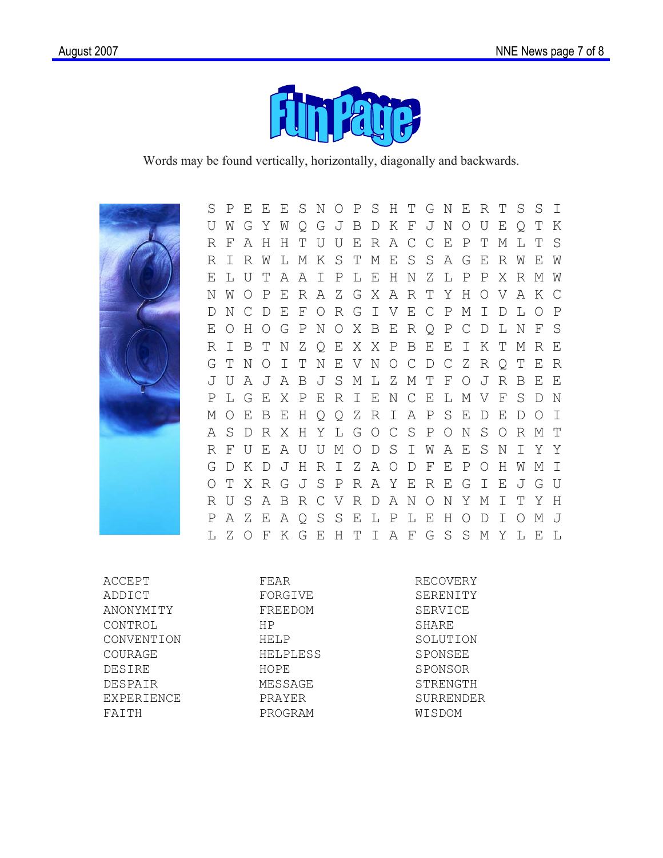

Words may be found vertically, horizontally, diagonally and backwards.



 S P E E E S N O P S H T G N E R T S S I U W G Y W Q G J B D K F J N O U E Q T K R F A H H T U U E R A C C E P T M L T S R I R W L M K S T M E S S A G E R W E W E L U T A A I P L E H N Z L P P X R M W N W O P E R A Z G X A R T Y H O V A K C D N C D E F O R G I V E C P M I D L O P E O H O G P N O X B E R Q P C D L N F S R I B T N Z Q E X X P B E E I K T M R E G T N O I T N E V N O C D C Z R Q T E R J U A J A B J S M L Z M T F O J R B E E P L G E X P E R I E N C E L M V F S D N M O E B E H Q Q Z R I A P S E D E D O I A S D R X H Y L G O C S P O N S O R M T R F U E A U U M O D S I W A E S N I Y Y G D K D J H R I Z A O D F E P O H W M I O T X R G J S P R A Y E R E G I E J G U R U S A B R C V R D A N O N Y M I T Y H P A Z E A Q S S E L P L E H O D I O M J L Z O F K G E H T I A F G S S M Y L E L

ACCEPT ADDICT ANONYMITY CONTROL CONVENTION COURAGE DESIRE DESPAIR EXPERIENCE FAITH

FORGIVE FREEDOM HP HELP HELPLESS HOPE MESSAGE PRAYER PROGRAM

FEAR

RECOVERY SERENITY SERVICE SHARE SOLUTION SPONSEE SPONSOR STRENGTH SURRENDER WISDOM